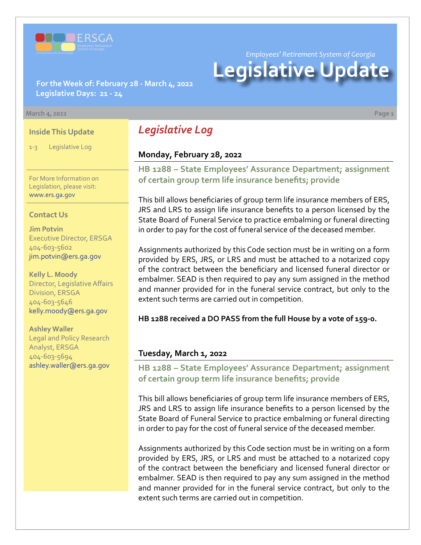

*Employees' Retirement System of Georgia*

# **Legislative Update**

**For the Week of: February 28 - March 4, 2022 Legislative Days: 21 - 24**

#### **March 4, 2022 Page 1**

#### **Inside This Update**

1-3 Legislative Log

For More Information on Legislation, please visit: [www.ers.ga.gov](http://www.ers.ga.gov/default.aspx)

#### **Contact Us**

**Jim Potvin** Executive Director, ERSGA 404-603-5602 jim.potvin@ers.ga.gov

**Kelly L. Moody** Director, Legislative Affairs Division, ERSGA 404-603-5646 kelly.moody@ers.ga.gov

**Ashley Waller** Legal and Policy Research Analyst, ERSGA 404-603-5694 ashley.waller@ers.ga.gov

# *Legislative Log*

#### **Monday, February 28, 2022**

**[HB 1288](https://www.legis.ga.gov/legislation/61906) – [State Employees' Assurance Department; assignment](https://www.legis.ga.gov/legislation/61906)  of certain group term life insurance benefits; provide**

This bill allows beneficiaries of group term life insurance members of ERS, JRS and LRS to assign life insurance benefits to a person licensed by the State Board of Funeral Service to practice embalming or funeral directing in order to pay for the cost of funeral service of the deceased member.

Assignments authorized by this Code section must be in writing on a form provided by ERS, JRS, or LRS and must be attached to a notarized copy of the contract between the beneficiary and licensed funeral director or embalmer. SEAD is then required to pay any sum assigned in the method and manner provided for in the funeral service contract, but only to the extent such terms are carried out in competition.

**HB 1288 received a DO PASS from the full House by a vote of 159-0.**

#### **Tuesday, March 1, 2022**

**[HB 1288 – State Employees' Assurance Department; assignment](https://www.legis.ga.gov/legislation/61906)  of certain group term life insurance benefits; provide**

This bill allows beneficiaries of group term life insurance members of ERS, JRS and LRS to assign life insurance benefits to a person licensed by the State Board of Funeral Service to practice embalming or funeral directing in order to pay for the cost of funeral service of the deceased member.

Assignments authorized by this Code section must be in writing on a form provided by ERS, JRS, or LRS and must be attached to a notarized copy of the contract between the beneficiary and licensed funeral director or embalmer. SEAD is then required to pay any sum assigned in the method and manner provided for in the funeral service contract, but only to the extent such terms are carried out in competition.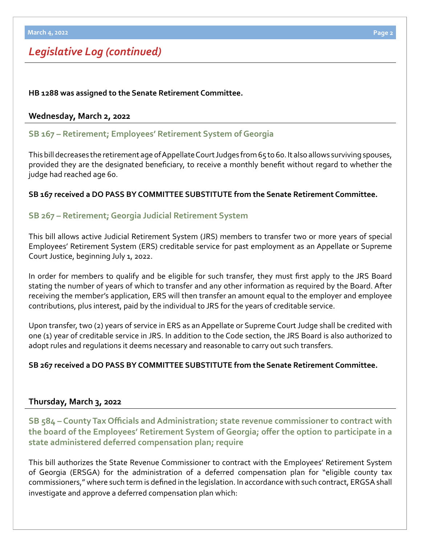# *Legislative Log (continued)*

**HB 1288 was assigned to the Senate Retirement Committee.**

### **Wednesday, March 2, 2022**

### **[SB 167 – Retirement; Employees' Retirement System of Georgia](https://www.legis.ga.gov/legislation/59672)**

This bill decreases the retirement age of Appellate Court Judges from 65 to 60. It also allows surviving spouses, provided they are the designated beneficiary, to receive a monthly benefit without regard to whether the judge had reached age 60.

## **SB 167 received a DO PASS BY COMMITTEE SUBSTITUTE from the Senate Retirement Committee.**

## **[SB 267](https://www.legis.ga.gov/legislation/60119) – [Retirement; Georgia Judicial Retirement System](https://www.legis.ga.gov/legislation/60119)**

This bill allows active Judicial Retirement System (JRS) members to transfer two or more years of special Employees' Retirement System (ERS) creditable service for past employment as an Appellate or Supreme Court Justice, beginning July 1, 2022.

In order for members to qualify and be eligible for such transfer, they must first apply to the JRS Board stating the number of years of which to transfer and any other information as required by the Board. After receiving the member's application, ERS will then transfer an amount equal to the employer and employee contributions, plus interest, paid by the individual to JRS for the years of creditable service.

Upon transfer, two (2) years of service in ERS as an Appellate or Supreme Court Judge shall be credited with one (1) year of creditable service in JRS. In addition to the Code section, the JRS Board is also authorized to adopt rules and regulations it deems necessary and reasonable to carry out such transfers.

## **SB 267 received a DO PASS BY COMMITTEE SUBSTITUTE from the Senate Retirement Committee.**

#### **Thursday, March 3, 2022**

**SB 584 – County Tax Officials and Administration; state revenue commissioner to contract with [the board of the Employees' Retirement System of Georgia; offer the option to participate in a](https://www.legis.ga.gov/legislation/62515)  state administered deferred compensation plan; require**

This bill authorizes the State Revenue Commissioner to contract with the Employees' Retirement System of Georgia (ERSGA) for the administration of a deferred compensation plan for "eligible county tax commissioners," where such term is defined in the legislation. In accordance with such contract, ERGSA shall investigate and approve a deferred compensation plan which: